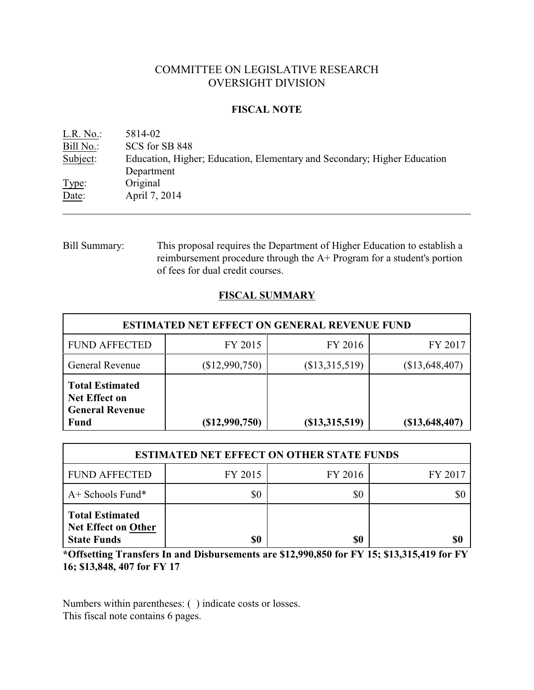# COMMITTEE ON LEGISLATIVE RESEARCH OVERSIGHT DIVISION

## **FISCAL NOTE**

| L.R. No.  | 5814-02                                                                  |
|-----------|--------------------------------------------------------------------------|
| Bill No.: | SCS for SB 848                                                           |
| Subject:  | Education, Higher; Education, Elementary and Secondary; Higher Education |
|           | Department                                                               |
| Type:     | Original                                                                 |
| Date:     | April 7, 2014                                                            |
|           |                                                                          |

# Bill Summary: This proposal requires the Department of Higher Education to establish a reimbursement procedure through the A+ Program for a student's portion of fees for dual credit courses.

# **FISCAL SUMMARY**

| <b>ESTIMATED NET EFFECT ON GENERAL REVENUE FUND</b>                                     |                |                      |                |  |
|-----------------------------------------------------------------------------------------|----------------|----------------------|----------------|--|
| <b>FUND AFFECTED</b>                                                                    | FY 2015        | FY 2016              | FY 2017        |  |
| <b>General Revenue</b>                                                                  | (\$12,990,750) | (\$13,315,519)       | (\$13,648,407) |  |
| <b>Total Estimated</b><br><b>Net Effect on</b><br><b>General Revenue</b><br><b>Fund</b> | (\$12,990,750) | $($ \$13,315,519 $)$ | (\$13,648,407) |  |

| <b>ESTIMATED NET EFFECT ON OTHER STATE FUNDS</b>                           |         |         |         |  |
|----------------------------------------------------------------------------|---------|---------|---------|--|
| <b>FUND AFFECTED</b>                                                       | FY 2015 | FY 2016 | FY 2017 |  |
| $A+$ Schools Fund*                                                         | \$0     | \$0     |         |  |
| <b>Total Estimated</b><br><b>Net Effect on Other</b><br><b>State Funds</b> | \$0     | \$0     | \$0     |  |

**\*Offsetting Transfers In and Disbursements are \$12,990,850 for FY 15; \$13,315,419 for FY 16; \$13,848, 407 for FY 17**

Numbers within parentheses: ( ) indicate costs or losses. This fiscal note contains 6 pages.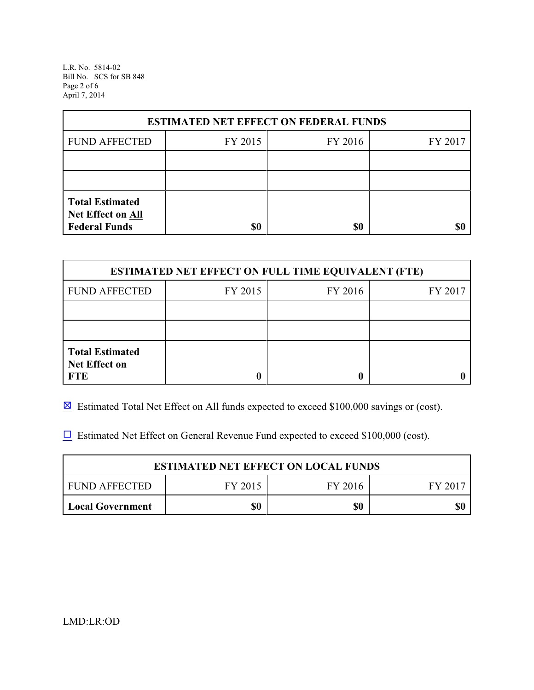L.R. No. 5814-02 Bill No. SCS for SB 848 Page 2 of 6 April 7, 2014

| <b>ESTIMATED NET EFFECT ON FEDERAL FUNDS</b>                        |         |         |         |  |
|---------------------------------------------------------------------|---------|---------|---------|--|
| <b>FUND AFFECTED</b>                                                | FY 2015 | FY 2016 | FY 2017 |  |
|                                                                     |         |         |         |  |
|                                                                     |         |         |         |  |
| <b>Total Estimated</b><br>Net Effect on All<br><b>Federal Funds</b> | \$0     | \$0     |         |  |

| <b>ESTIMATED NET EFFECT ON FULL TIME EQUIVALENT (FTE)</b>    |         |         |         |  |
|--------------------------------------------------------------|---------|---------|---------|--|
| <b>FUND AFFECTED</b>                                         | FY 2015 | FY 2016 | FY 2017 |  |
|                                                              |         |         |         |  |
|                                                              |         |         |         |  |
| <b>Total Estimated</b><br><b>Net Effect on</b><br><b>FTE</b> |         |         |         |  |

 $\boxtimes$  Estimated Total Net Effect on All funds expected to exceed \$100,000 savings or (cost).

 $\Box$  Estimated Net Effect on General Revenue Fund expected to exceed \$100,000 (cost).

| <b>ESTIMATED NET EFFECT ON LOCAL FUNDS</b> |         |         |        |
|--------------------------------------------|---------|---------|--------|
| <b>FUND AFFECTED</b>                       | FY 2015 | FY 2016 | FY 201 |
| <b>Local Government</b>                    | \$0     | \$0     |        |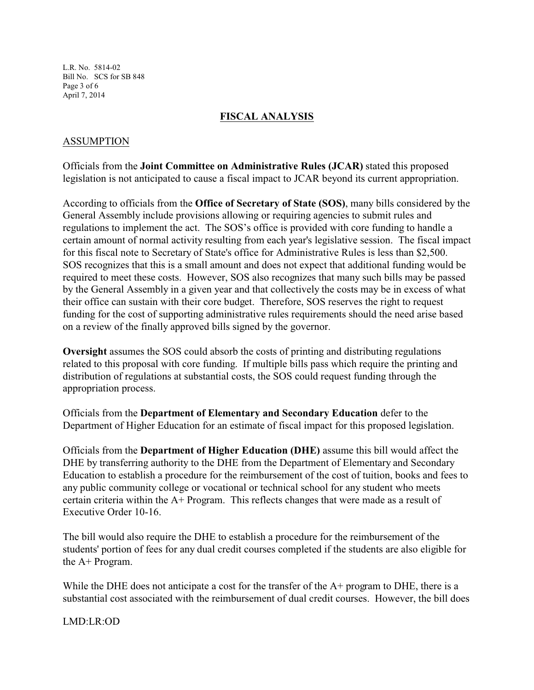L.R. No. 5814-02 Bill No. SCS for SB 848 Page 3 of 6 April 7, 2014

## **FISCAL ANALYSIS**

## ASSUMPTION

Officials from the **Joint Committee on Administrative Rules (JCAR)** stated this proposed legislation is not anticipated to cause a fiscal impact to JCAR beyond its current appropriation.

According to officials from the **Office of Secretary of State (SOS)**, many bills considered by the General Assembly include provisions allowing or requiring agencies to submit rules and regulations to implement the act. The SOS's office is provided with core funding to handle a certain amount of normal activity resulting from each year's legislative session. The fiscal impact for this fiscal note to Secretary of State's office for Administrative Rules is less than \$2,500. SOS recognizes that this is a small amount and does not expect that additional funding would be required to meet these costs. However, SOS also recognizes that many such bills may be passed by the General Assembly in a given year and that collectively the costs may be in excess of what their office can sustain with their core budget. Therefore, SOS reserves the right to request funding for the cost of supporting administrative rules requirements should the need arise based on a review of the finally approved bills signed by the governor.

**Oversight** assumes the SOS could absorb the costs of printing and distributing regulations related to this proposal with core funding. If multiple bills pass which require the printing and distribution of regulations at substantial costs, the SOS could request funding through the appropriation process.

Officials from the **Department of Elementary and Secondary Education** defer to the Department of Higher Education for an estimate of fiscal impact for this proposed legislation.

Officials from the **Department of Higher Education (DHE)** assume this bill would affect the DHE by transferring authority to the DHE from the Department of Elementary and Secondary Education to establish a procedure for the reimbursement of the cost of tuition, books and fees to any public community college or vocational or technical school for any student who meets certain criteria within the A+ Program. This reflects changes that were made as a result of Executive Order 10-16.

The bill would also require the DHE to establish a procedure for the reimbursement of the students' portion of fees for any dual credit courses completed if the students are also eligible for the A+ Program.

While the DHE does not anticipate a cost for the transfer of the  $A+$  program to DHE, there is a substantial cost associated with the reimbursement of dual credit courses. However, the bill does

LMD:LR:OD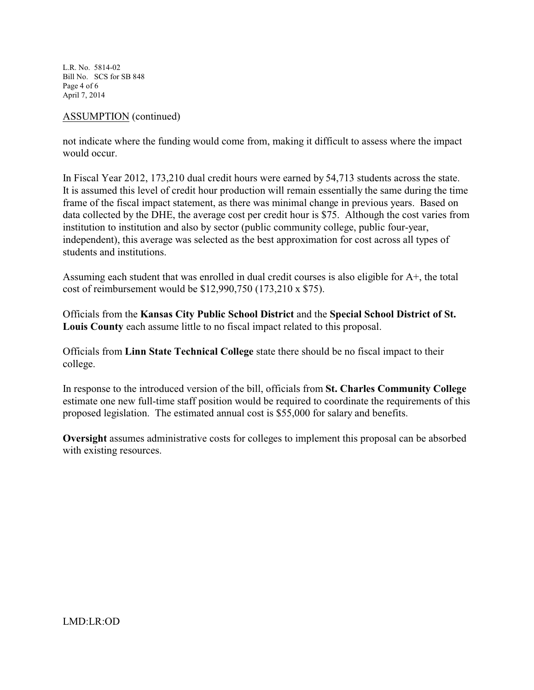L.R. No. 5814-02 Bill No. SCS for SB 848 Page 4 of 6 April 7, 2014

## ASSUMPTION (continued)

not indicate where the funding would come from, making it difficult to assess where the impact would occur.

In Fiscal Year 2012, 173,210 dual credit hours were earned by 54,713 students across the state. It is assumed this level of credit hour production will remain essentially the same during the time frame of the fiscal impact statement, as there was minimal change in previous years. Based on data collected by the DHE, the average cost per credit hour is \$75. Although the cost varies from institution to institution and also by sector (public community college, public four-year, independent), this average was selected as the best approximation for cost across all types of students and institutions.

Assuming each student that was enrolled in dual credit courses is also eligible for A+, the total cost of reimbursement would be \$12,990,750 (173,210 x \$75).

Officials from the **Kansas City Public School District** and the **Special School District of St. Louis County** each assume little to no fiscal impact related to this proposal.

Officials from **Linn State Technical College** state there should be no fiscal impact to their college.

In response to the introduced version of the bill, officials from **St. Charles Community College** estimate one new full-time staff position would be required to coordinate the requirements of this proposed legislation. The estimated annual cost is \$55,000 for salary and benefits.

**Oversight** assumes administrative costs for colleges to implement this proposal can be absorbed with existing resources.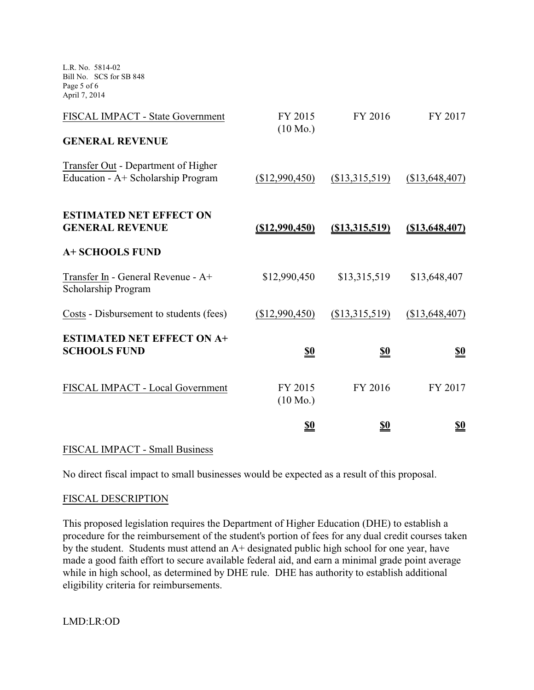L.R. No. 5814-02 Bill No. SCS for SB 848 Page 5 of 6 April 7, 2014

| FISCAL IMPACT - State Government                                          | FY 2015                       | FY 2016          | FY 2017        |
|---------------------------------------------------------------------------|-------------------------------|------------------|----------------|
| <b>GENERAL REVENUE</b>                                                    | $(10 \text{ Mo.})$            |                  |                |
| Transfer Out - Department of Higher<br>Education - A+ Scholarship Program | (\$12,990,450)                | (\$13,315,519)   | (\$13,648,407) |
| <b>ESTIMATED NET EFFECT ON</b><br><b>GENERAL REVENUE</b>                  | $($ \$12,990,450)             | $(\$13,315,519)$ | (\$13,648,407) |
| <b>A+ SCHOOLS FUND</b>                                                    |                               |                  |                |
| Transfer In - General Revenue - A+<br>Scholarship Program                 | \$12,990,450                  | \$13,315,519     | \$13,648,407   |
| Costs - Disbursement to students (fees)                                   | (\$12,990,450)                | (\$13,315,519)   | (\$13,648,407) |
| <b>ESTIMATED NET EFFECT ON A+</b><br><b>SCHOOLS FUND</b>                  | <u>\$0</u>                    | <u>\$0</u>       | <u>\$0</u>     |
| FISCAL IMPACT - Local Government                                          | FY 2015<br>$(10 \text{ Mo.})$ | FY 2016          | FY 2017        |
|                                                                           | \$0                           | <u>\$0</u>       | <u>\$0</u>     |

### FISCAL IMPACT - Small Business

No direct fiscal impact to small businesses would be expected as a result of this proposal.

### FISCAL DESCRIPTION

This proposed legislation requires the Department of Higher Education (DHE) to establish a procedure for the reimbursement of the student's portion of fees for any dual credit courses taken by the student. Students must attend an A+ designated public high school for one year, have made a good faith effort to secure available federal aid, and earn a minimal grade point average while in high school, as determined by DHE rule. DHE has authority to establish additional eligibility criteria for reimbursements.

LMD:LR:OD